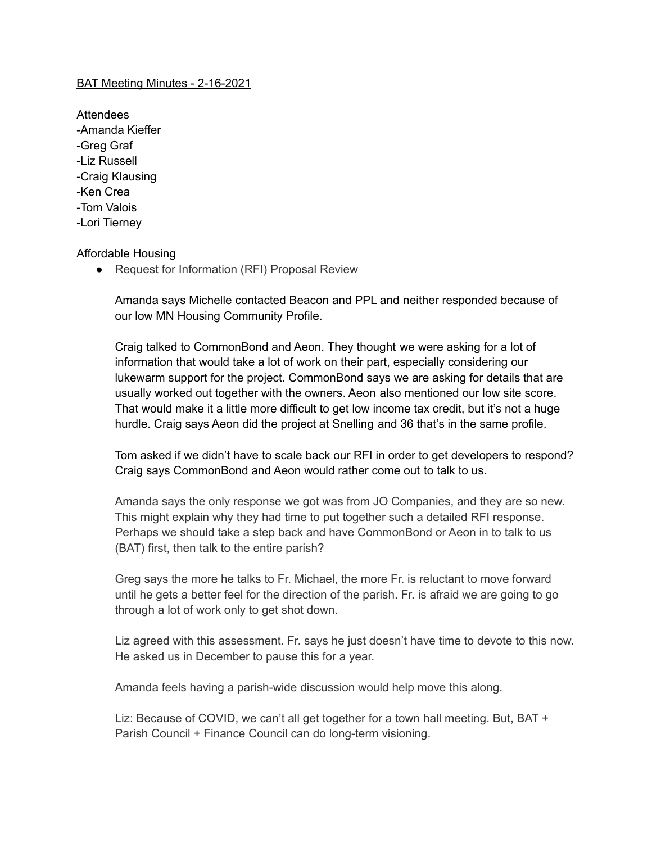## BAT Meeting Minutes - 2-16-2021

Attendees -Amanda Kieffer -Greg Graf -Liz Russell -Craig Klausing -Ken Crea -Tom Valois -Lori Tierney

## Affordable Housing

● Request for Information (RFI) Proposal Review

Amanda says Michelle contacted Beacon and PPL and neither responded because of our low MN Housing Community Profile.

Craig talked to CommonBond and Aeon. They thought we were asking for a lot of information that would take a lot of work on their part, especially considering our lukewarm support for the project. CommonBond says we are asking for details that are usually worked out together with the owners. Aeon also mentioned our low site score. That would make it a little more difficult to get low income tax credit, but it's not a huge hurdle. Craig says Aeon did the project at Snelling and 36 that's in the same profile.

Tom asked if we didn't have to scale back our RFI in order to get developers to respond? Craig says CommonBond and Aeon would rather come out to talk to us.

Amanda says the only response we got was from JO Companies, and they are so new. This might explain why they had time to put together such a detailed RFI response. Perhaps we should take a step back and have CommonBond or Aeon in to talk to us (BAT) first, then talk to the entire parish?

Greg says the more he talks to Fr. Michael, the more Fr. is reluctant to move forward until he gets a better feel for the direction of the parish. Fr. is afraid we are going to go through a lot of work only to get shot down.

Liz agreed with this assessment. Fr. says he just doesn't have time to devote to this now. He asked us in December to pause this for a year.

Amanda feels having a parish-wide discussion would help move this along.

Liz: Because of COVID, we can't all get together for a town hall meeting. But, BAT + Parish Council + Finance Council can do long-term visioning.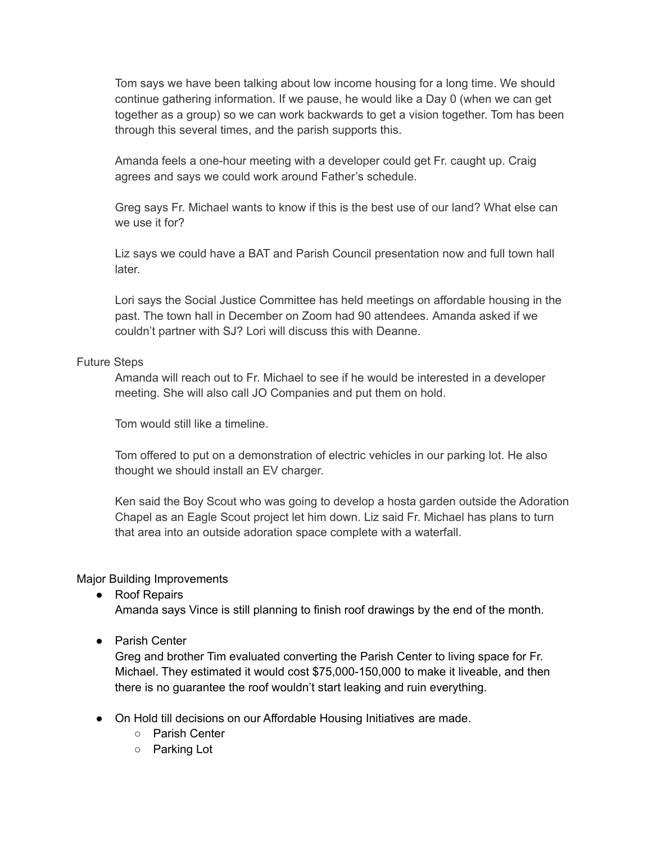Tom says we have been talking about low income housing for a long time. We should continue gathering information. If we pause, he would like a Day 0 (when we can get together as a group) so we can work backwards to get a vision together. Tom has been through this several times, and the parish supports this.

Amanda feels a one-hour meeting with a developer could get Fr. caught up. Craig agrees and says we could work around Father's schedule.

Greg says Fr. Michael wants to know if this is the best use of our land? What else can we use it for?

Liz says we could have a BAT and Parish Council presentation now and full town hall later.

Lori says the Social Justice Committee has held meetings on affordable housing in the past. The town hall in December on Zoom had 90 attendees. Amanda asked if we couldn't partner with SJ? Lori will discuss this with Deanne.

## Future Steps

Amanda will reach out to Fr. Michael to see if he would be interested in a developer meeting. She will also call JO Companies and put them on hold.

Tom would still like a timeline.

Tom offered to put on a demonstration of electric vehicles in our parking lot. He also thought we should install an EV charger.

Ken said the Boy Scout who was going to develop a hosta garden outside the Adoration Chapel as an Eagle Scout project let him down. Liz said Fr. Michael has plans to turn that area into an outside adoration space complete with a waterfall.

## Major Building Improvements

- Roof Repairs Amanda says Vince is still planning to finish roof drawings by the end of the month.
- Parish Center

Greg and brother Tim evaluated converting the Parish Center to living space for Fr. Michael. They estimated it would cost \$75,000-150,000 to make it liveable, and then there is no guarantee the roof wouldn't start leaking and ruin everything.

- On Hold till decisions on our Affordable Housing Initiatives are made.
	- Parish Center
	- Parking Lot